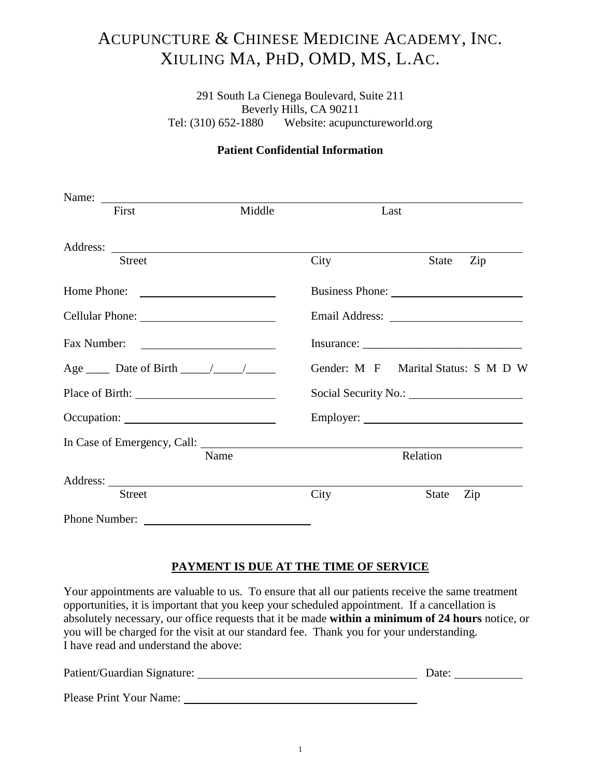# ACUPUNCTURE & CHINESE MEDICINE ACADEMY, INC. XIULING MA, PHD, OMD, MS, L.AC.

291 South La Cienega Boulevard, Suite 211 Beverly Hills, CA 90211 Tel: (310) 652-1880 Website: acupunctureworld.org

## **Patient Confidential Information**

| First                | Middle | Last |                                     |
|----------------------|--------|------|-------------------------------------|
|                      |        |      |                                     |
| <b>Street</b>        |        | City | Zip<br><b>State</b>                 |
| Home Phone:          |        |      |                                     |
|                      |        |      |                                     |
| Fax Number:          |        |      |                                     |
|                      |        |      | Gender: M F Marital Status: S M D W |
| Place of Birth: 1999 |        |      |                                     |
| Occupation:          |        |      |                                     |
|                      |        |      |                                     |
|                      | Name   |      | Relation                            |
|                      |        |      |                                     |
| <b>Street</b>        |        | City | Zip<br><b>State</b>                 |
|                      |        |      |                                     |

## **PAYMENT IS DUE AT THE TIME OF SERVICE**

Your appointments are valuable to us. To ensure that all our patients receive the same treatment opportunities, it is important that you keep your scheduled appointment. If a cancellation is absolutely necessary, our office requests that it be made **within a minimum of 24 hours** notice, or you will be charged for the visit at our standard fee. Thank you for your understanding. I have read and understand the above:

| Patient/Guardian Signature: | Date: |
|-----------------------------|-------|
| Please Print Your Name:     |       |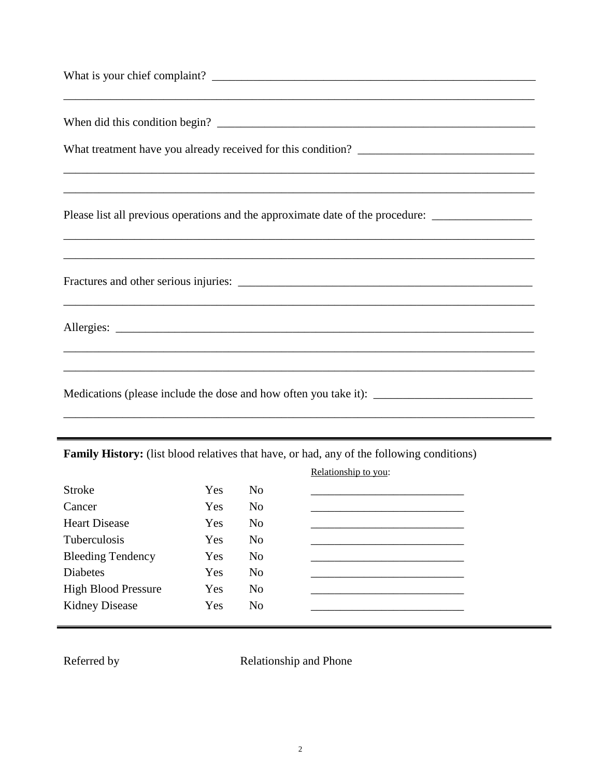| Please list all previous operations and the approximate date of the procedure:                       |
|------------------------------------------------------------------------------------------------------|
|                                                                                                      |
|                                                                                                      |
|                                                                                                      |
| ,我们也不能在这里的人,我们也不能在这里的人,我们也不能在这里的人,我们也不能在这里的人,我们也不能在这里的人,我们也不能在这里的人,我们也不能在这里的人,我们也                    |
| Medications (please include the dose and how often you take it): ___________________________________ |

Family History: (list blood relatives that have, or had, any of the following conditions)

|                            |     |                | Relationship to you: |
|----------------------------|-----|----------------|----------------------|
| <b>Stroke</b>              | Yes | N <sub>0</sub> |                      |
| Cancer                     | Yes | N <sub>0</sub> |                      |
| <b>Heart Disease</b>       | Yes | N <sub>0</sub> |                      |
| <b>Tuberculosis</b>        | Yes | N <sub>0</sub> |                      |
| <b>Bleeding Tendency</b>   | Yes | N <sub>0</sub> |                      |
| <b>Diabetes</b>            | Yes | N <sub>o</sub> |                      |
| <b>High Blood Pressure</b> | Yes | N <sub>0</sub> |                      |
| <b>Kidney Disease</b>      | Yes | N <sub>0</sub> |                      |
|                            |     |                |                      |

Referred by

Relationship and Phone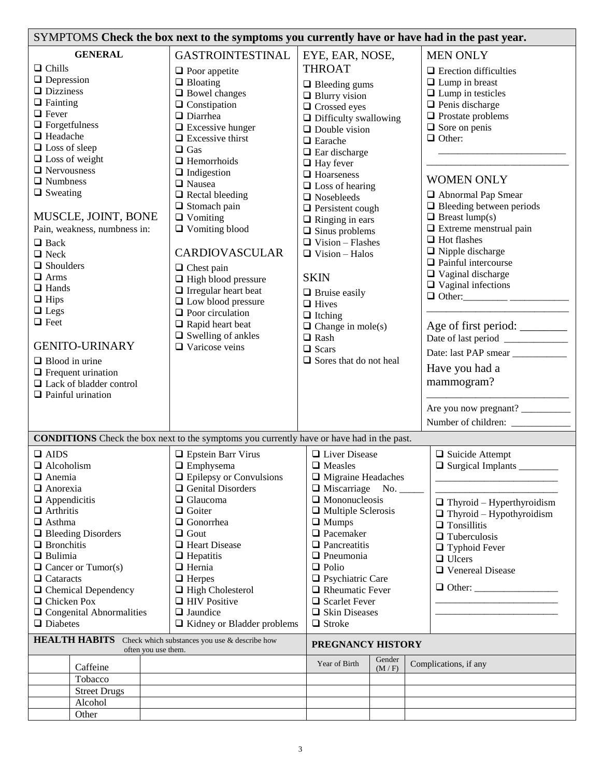| SYMPTOMS Check the box next to the symptoms you currently have or have had in the past year.                                                                                                                                                                                                                                                                                                                                                                                                                                            |                                                                                                                                                                                                                                                                                                                                                                                                                                                                                                                                                                                                                   |                                                                                                                                                                                                                                                                                                                                                                                                                                                                                                                                                                                                          |                 |  |                                                                                                                                                                                                                                                                                                                                                                                                                                                                                                                                                                |
|-----------------------------------------------------------------------------------------------------------------------------------------------------------------------------------------------------------------------------------------------------------------------------------------------------------------------------------------------------------------------------------------------------------------------------------------------------------------------------------------------------------------------------------------|-------------------------------------------------------------------------------------------------------------------------------------------------------------------------------------------------------------------------------------------------------------------------------------------------------------------------------------------------------------------------------------------------------------------------------------------------------------------------------------------------------------------------------------------------------------------------------------------------------------------|----------------------------------------------------------------------------------------------------------------------------------------------------------------------------------------------------------------------------------------------------------------------------------------------------------------------------------------------------------------------------------------------------------------------------------------------------------------------------------------------------------------------------------------------------------------------------------------------------------|-----------------|--|----------------------------------------------------------------------------------------------------------------------------------------------------------------------------------------------------------------------------------------------------------------------------------------------------------------------------------------------------------------------------------------------------------------------------------------------------------------------------------------------------------------------------------------------------------------|
| <b>GENERAL</b><br>$\Box$ Chills<br>$\Box$ Depression<br>$\Box$ Dizziness<br>$\Box$ Fainting<br>$\Box$ Fever<br>$\Box$ Forgetfulness<br>$\Box$ Headache<br>$\Box$ Loss of sleep<br>$\Box$ Loss of weight<br>$\Box$ Nervousness<br>$\Box$ Numbness<br>$\Box$ Sweating<br>MUSCLE, JOINT, BONE<br>Pain, weakness, numbness in:<br>$\Box$ Back<br>$\Box$ Neck<br>$\Box$ Shoulders<br>$\Box$ Arms<br>$\Box$ Hands<br>$\Box$ Hips<br>$\Box$ Legs<br>$\Box$ Feet<br><b>GENITO-URINARY</b><br>$\Box$ Blood in urine<br>$\Box$ Frequent urination | <b>GASTROINTESTINAL</b><br>$\Box$ Poor appetite<br>$\Box$ Bloating<br>$\Box$ Bowel changes<br>$\Box$ Constipation<br>$\Box$ Diarrhea<br>$\Box$ Excessive hunger<br>$\Box$ Excessive thirst<br>$\Box$ Gas<br>$\Box$ Hemorrhoids<br>$\Box$ Indigestion<br>□ Nausea<br>$\Box$ Rectal bleeding<br>$\Box$ Stomach pain<br>$\Box$ Vomiting<br>$\Box$ Vomiting blood<br><b>CARDIOVASCULAR</b><br>$\Box$ Chest pain<br>$\Box$ High blood pressure<br>$\Box$ Irregular heart beat<br>$\Box$ Low blood pressure<br>$\Box$ Poor circulation<br>$\Box$ Rapid heart beat<br>$\Box$ Swelling of ankles<br>$\Box$ Varicose veins | EYE, EAR, NOSE,<br><b>THROAT</b><br>$\Box$ Bleeding gums<br>$\Box$ Blurry vision<br>$\Box$ Crossed eyes<br>$\Box$ Difficulty swallowing<br>$\Box$ Double vision<br>$\Box$ Earache<br>$\Box$ Ear discharge<br>$\Box$ Hay fever<br>$\Box$ Hoarseness<br>$\Box$ Loss of hearing<br>$\Box$ Nosebleeds<br>$\Box$ Persistent cough<br>$\Box$ Ringing in ears<br>$\Box$ Sinus problems<br>$\Box$ Vision – Flashes<br>$\Box$ Vision - Halos<br><b>SKIN</b><br>$\Box$ Bruise easily<br>$\Box$ Hives<br>$\Box$ Itching<br>$\Box$ Change in mole(s)<br>$\Box$ Rash<br>$\Box$ Scars<br>$\Box$ Sores that do not heal |                 |  | <b>MEN ONLY</b><br>$\Box$ Erection difficulties<br>$\Box$ Lump in breast<br>$\Box$ Lump in testicles<br>$\Box$ Penis discharge<br>$\Box$ Prostate problems<br>$\Box$ Sore on penis<br>$\Box$ Other:<br><b>WOMEN ONLY</b><br>Abnormal Pap Smear<br>$\Box$ Bleeding between periods<br>$\Box$ Breast lump(s)<br>$\Box$ Extreme menstrual pain<br>$\Box$ Hot flashes<br>$\Box$ Nipple discharge<br>$\Box$ Painful intercourse<br>$\Box$ Vaginal discharge<br>$\Box$ Vaginal infections<br>Age of first period: ________<br>Date: last PAP smear<br>Have you had a |
| $\Box$ Lack of bladder control<br>$\Box$ Painful urination                                                                                                                                                                                                                                                                                                                                                                                                                                                                              |                                                                                                                                                                                                                                                                                                                                                                                                                                                                                                                                                                                                                   |                                                                                                                                                                                                                                                                                                                                                                                                                                                                                                                                                                                                          |                 |  | mammogram?<br>Are you now pregnant?                                                                                                                                                                                                                                                                                                                                                                                                                                                                                                                            |
|                                                                                                                                                                                                                                                                                                                                                                                                                                                                                                                                         |                                                                                                                                                                                                                                                                                                                                                                                                                                                                                                                                                                                                                   |                                                                                                                                                                                                                                                                                                                                                                                                                                                                                                                                                                                                          |                 |  |                                                                                                                                                                                                                                                                                                                                                                                                                                                                                                                                                                |
| <b>CONDITIONS</b> Check the box next to the symptoms you currently have or have had in the past.                                                                                                                                                                                                                                                                                                                                                                                                                                        |                                                                                                                                                                                                                                                                                                                                                                                                                                                                                                                                                                                                                   |                                                                                                                                                                                                                                                                                                                                                                                                                                                                                                                                                                                                          |                 |  |                                                                                                                                                                                                                                                                                                                                                                                                                                                                                                                                                                |
| $\Box$ AIDS<br>$\Box$ Alcoholism<br>$\Box$ Anemia<br>$\Box$ Anorexia<br>$\Box$ Appendicitis<br>$\Box$ Arthritis<br>$\Box$ Asthma<br>$\Box$ Bleeding Disorders<br>$\Box$ Bronchitis<br>$\Box$ Bulimia<br>$\Box$ Cancer or Tumor(s)<br>$\Box$ Cataracts<br>$\Box$ Chemical Dependency<br>$\Box$ Chicken Pox<br>$\Box$ Congenital Abnormalities<br>$\Box$ Diabetes                                                                                                                                                                         | $\hfill\blacksquare$<br>Epstein Barr Virus<br>$\Box$ Emphysema<br>$\Box$ Epilepsy or Convulsions<br>Genital Disorders<br>$\Box$ Glaucoma<br>$\Box$ Goiter<br>□ Gonorrhea<br>$\Box$ Gout<br>$\Box$ Heart Disease<br>$\Box$ Hepatitis<br>$\Box$ Hernia<br>$\Box$ Herpes<br>$\Box$ High Cholesterol<br>$\Box$ HIV Positive<br>$\Box$ Jaundice<br>□ Kidney or Bladder problems                                                                                                                                                                                                                                        | □ Liver Disease<br>$\Box$ Measles<br>$\Box$ Migraine Headaches<br>$\Box$ Miscarriage<br>$\Box$ Mononucleosis<br>$\Box$ Multiple Sclerosis<br>$\Box$ Mumps<br>$\Box$ Pacemaker<br>$\Box$ Pancreatitis<br>$\Box$ Pneumonia<br>$\Box$ Polio<br>$\Box$ Psychiatric Care<br>$\Box$ Rheumatic Fever<br>$\Box$ Scarlet Fever<br>$\Box$ Skin Diseases<br>$\Box$ Stroke                                                                                                                                                                                                                                           | No.             |  | $\Box$ Suicide Attempt<br>$\Box$ Surgical Implants<br>$\Box$ Thyroid – Hyperthyroidism<br>$\Box$ Thyroid - Hypothyroidism<br>$\Box$ Tonsillitis<br>$\Box$ Tuberculosis<br>$\Box$ Typhoid Fever<br>$\Box$ Ulcers<br>□ Venereal Disease<br>$\Box$ Other:                                                                                                                                                                                                                                                                                                         |
| <b>HEALTH HABITS</b>                                                                                                                                                                                                                                                                                                                                                                                                                                                                                                                    | Check which substances you use & describe how                                                                                                                                                                                                                                                                                                                                                                                                                                                                                                                                                                     | PREGNANCY HISTORY                                                                                                                                                                                                                                                                                                                                                                                                                                                                                                                                                                                        |                 |  |                                                                                                                                                                                                                                                                                                                                                                                                                                                                                                                                                                |
| often you use them.<br>Caffeine<br>Tobacco<br><b>Street Drugs</b><br>Alcohol                                                                                                                                                                                                                                                                                                                                                                                                                                                            |                                                                                                                                                                                                                                                                                                                                                                                                                                                                                                                                                                                                                   | Year of Birth                                                                                                                                                                                                                                                                                                                                                                                                                                                                                                                                                                                            | Gender<br>(M/F) |  | Complications, if any                                                                                                                                                                                                                                                                                                                                                                                                                                                                                                                                          |
| Other                                                                                                                                                                                                                                                                                                                                                                                                                                                                                                                                   |                                                                                                                                                                                                                                                                                                                                                                                                                                                                                                                                                                                                                   |                                                                                                                                                                                                                                                                                                                                                                                                                                                                                                                                                                                                          |                 |  |                                                                                                                                                                                                                                                                                                                                                                                                                                                                                                                                                                |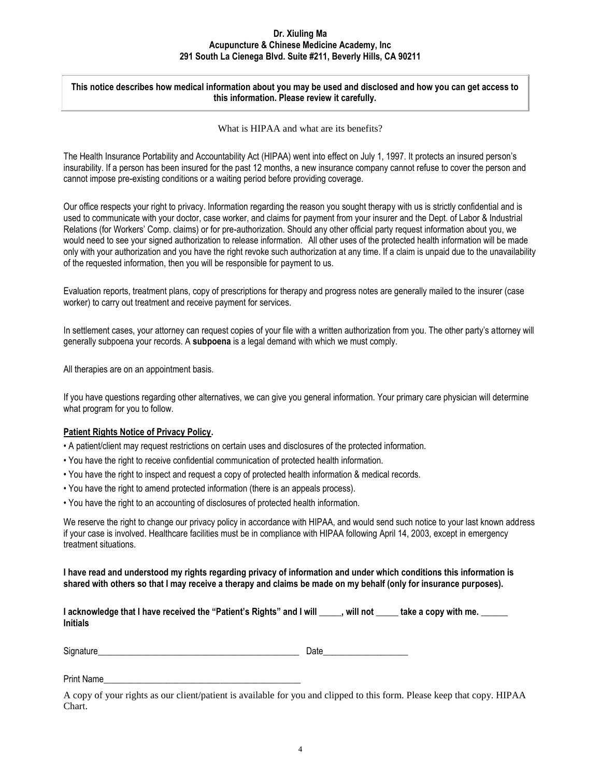#### **Dr. Xiuling Ma Acupuncture & Chinese Medicine Academy, Inc 291 South La Cienega Blvd. Suite #211, Beverly Hills, CA 90211**

#### **This notice describes how medical information about you may be used and disclosed and how you can get access to this information. Please review it carefully.**

What is HIPAA and what are its benefits?

The Health Insurance Portability and Accountability Act (HIPAA) went into effect on July 1, 1997. It protects an insured person's insurability. If a person has been insured for the past 12 months, a new insurance company cannot refuse to cover the person and cannot impose pre-existing conditions or a waiting period before providing coverage.

Our office respects your right to privacy. Information regarding the reason you sought therapy with us is strictly confidential and is used to communicate with your doctor, case worker, and claims for payment from your insurer and the Dept. of Labor & Industrial Relations (for Workers' Comp. claims) or for pre-authorization. Should any other official party request information about you, we would need to see your signed authorization to release information. All other uses of the protected health information will be made only with your authorization and you have the right revoke such authorization at any time. If a claim is unpaid due to the unavailability of the requested information, then you will be responsible for payment to us.

Evaluation reports, treatment plans, copy of prescriptions for therapy and progress notes are generally mailed to the insurer (case worker) to carry out treatment and receive payment for services.

In settlement cases, your attorney can request copies of your file with a written authorization from you. The other party's attorney will generally subpoena your records. A **subpoena** is a legal demand with which we must comply.

All therapies are on an appointment basis.

If you have questions regarding other alternatives, we can give you general information. Your primary care physician will determine what program for you to follow.

#### **Patient Rights Notice of Privacy Policy.**

- A patient/client may request restrictions on certain uses and disclosures of the protected information.
- You have the right to receive confidential communication of protected health information.
- You have the right to inspect and request a copy of protected health information & medical records.
- You have the right to amend protected information (there is an appeals process).
- You have the right to an accounting of disclosures of protected health information.

We reserve the right to change our privacy policy in accordance with HIPAA, and would send such notice to your last known address if your case is involved. Healthcare facilities must be in compliance with HIPAA following April 14, 2003, except in emergency treatment situations.

**I have read and understood my rights regarding privacy of information and under which conditions this information is shared with others so that I may receive a therapy and claims be made on my behalf (only for insurance purposes).**

| I acknowledge that I have received the "Patient's Rights" and I will | . will not | take a copy with me. |
|----------------------------------------------------------------------|------------|----------------------|
| <b>Initials</b>                                                      |            |                      |

Signature **Example 2** and the set of the set of the set of the set of the set of the set of the set of the set of the set of the set of the set of the set of the set of the set of the set of the set of the set of the set o

Print Name

A copy of your rights as our client/patient is available for you and clipped to this form. Please keep that copy. HIPAA Chart.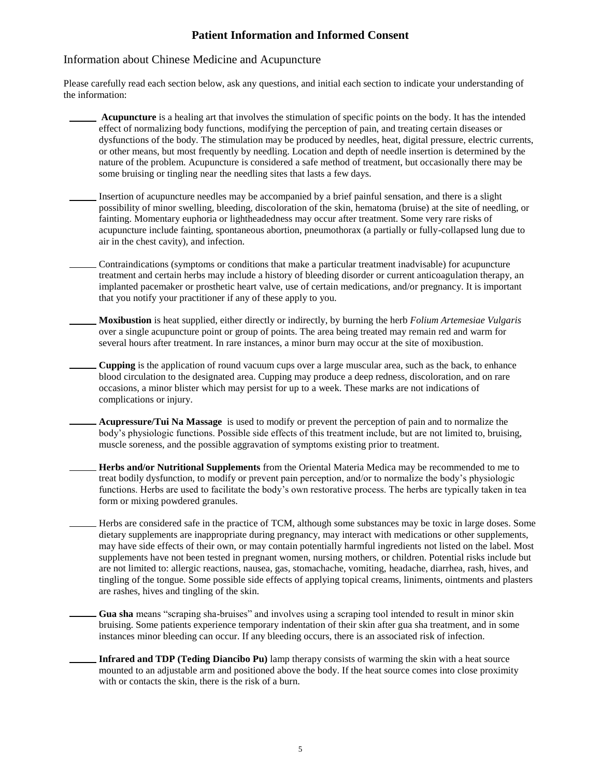## **Patient Information and Informed Consent**

### Information about Chinese Medicine and Acupuncture

Please carefully read each section below, ask any questions, and initial each section to indicate your understanding of the information:

- **Acupuncture** is a healing art that involves the stimulation of specific points on the body. It has the intended effect of normalizing body functions, modifying the perception of pain, and treating certain diseases or dysfunctions of the body. The stimulation may be produced by needles, heat, digital pressure, electric currents, or other means, but most frequently by needling. Location and depth of needle insertion is determined by the nature of the problem. Acupuncture is considered a safe method of treatment, but occasionally there may be some bruising or tingling near the needling sites that lasts a few days.
- Insertion of acupuncture needles may be accompanied by a brief painful sensation, and there is a slight possibility of minor swelling, bleeding, discoloration of the skin, hematoma (bruise) at the site of needling, or fainting. Momentary euphoria or lightheadedness may occur after treatment. Some very rare risks of acupuncture include fainting, spontaneous abortion, pneumothorax (a partially or fully-collapsed lung due to air in the chest cavity), and infection.
- Contraindications (symptoms or conditions that make a particular treatment inadvisable) for acupuncture treatment and certain herbs may include a history of bleeding disorder or current anticoagulation therapy, an implanted pacemaker or prosthetic heart valve, use of certain medications, and/or pregnancy. It is important that you notify your practitioner if any of these apply to you.
- **Moxibustion** is heat supplied, either directly or indirectly, by burning the herb *Folium Artemesiae Vulgaris* over a single acupuncture point or group of points. The area being treated may remain red and warm for several hours after treatment. In rare instances, a minor burn may occur at the site of moxibustion.
- **Cupping** is the application of round vacuum cups over a large muscular area, such as the back, to enhance blood circulation to the designated area. Cupping may produce a deep redness, discoloration, and on rare occasions, a minor blister which may persist for up to a week. These marks are not indications of complications or injury.
- **Acupressure/Tui Na Massage** is used to modify or prevent the perception of pain and to normalize the body's physiologic functions. Possible side effects of this treatment include, but are not limited to, bruising, muscle soreness, and the possible aggravation of symptoms existing prior to treatment.
- **Herbs and/or Nutritional Supplements** from the Oriental Materia Medica may be recommended to me to treat bodily dysfunction, to modify or prevent pain perception, and/or to normalize the body's physiologic functions. Herbs are used to facilitate the body's own restorative process. The herbs are typically taken in tea form or mixing powdered granules.
- Herbs are considered safe in the practice of TCM, although some substances may be toxic in large doses. Some dietary supplements are inappropriate during pregnancy, may interact with medications or other supplements, may have side effects of their own, or may contain potentially harmful ingredients not listed on the label. Most supplements have not been tested in pregnant women, nursing mothers, or children. Potential risks include but are not limited to: allergic reactions, nausea, gas, stomachache, vomiting, headache, diarrhea, rash, hives, and tingling of the tongue. Some possible side effects of applying topical creams, liniments, ointments and plasters are rashes, hives and tingling of the skin.
- **Gua sha** means "scraping sha-bruises" and involves using a scraping tool intended to result in minor skin bruising. Some patients experience temporary indentation of their skin after gua sha treatment, and in some instances minor bleeding can occur. If any bleeding occurs, there is an associated risk of infection.
	- **Infrared and TDP (Teding Diancibo Pu)** lamp therapy consists of warming the skin with a heat source mounted to an adjustable arm and positioned above the body. If the heat source comes into close proximity with or contacts the skin, there is the risk of a burn.